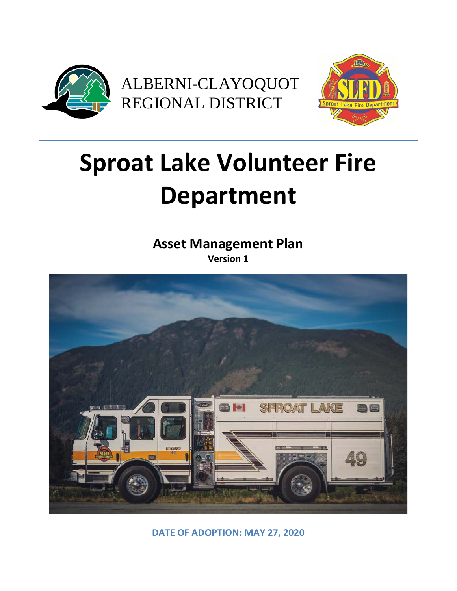



# **Sproat Lake Volunteer Fire Department**

**Asset Management Plan Version 1**



**DATE OF ADOPTION: MAY 27, 2020**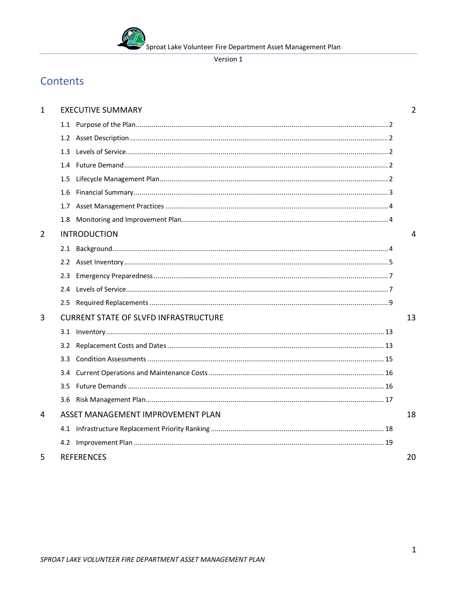

# Contents

| $\mathbf{1}$   |                  | <b>EXECUTIVE SUMMARY</b>                     | $\overline{2}$ |
|----------------|------------------|----------------------------------------------|----------------|
|                |                  |                                              |                |
|                |                  |                                              |                |
|                | 1.3              |                                              |                |
|                |                  |                                              |                |
|                | 1.5              |                                              |                |
|                |                  |                                              |                |
|                |                  |                                              |                |
|                | 1.8              |                                              |                |
| $\overline{2}$ |                  | <b>INTRODUCTION</b>                          | $\overline{4}$ |
|                |                  |                                              |                |
|                |                  |                                              |                |
|                | 2.3              |                                              |                |
|                | 2.4              |                                              |                |
|                |                  |                                              |                |
| 3              |                  | <b>CURRENT STATE OF SLVFD INFRASTRUCTURE</b> | 13             |
|                |                  |                                              |                |
|                | 3.2              |                                              |                |
|                | 3.3 <sub>1</sub> |                                              |                |
|                |                  |                                              |                |
|                | $3.5^{\circ}$    |                                              |                |
|                | 3.6              |                                              |                |
| 4              |                  | ASSET MANAGEMENT IMPROVEMENT PLAN            | 18             |
|                |                  |                                              |                |
|                |                  |                                              |                |
| 5              |                  | <b>REFERENCES</b>                            | 20             |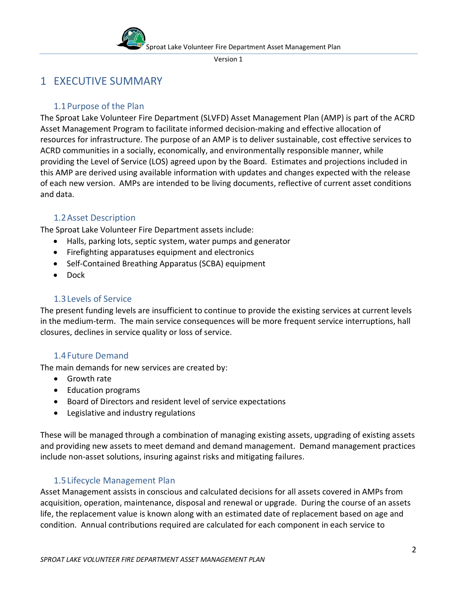

# <span id="page-2-0"></span>1 EXECUTIVE SUMMARY

# <span id="page-2-1"></span>1.1Purpose of the Plan

The Sproat Lake Volunteer Fire Department (SLVFD) Asset Management Plan (AMP) is part of the ACRD Asset Management Program to facilitate informed decision-making and effective allocation of resources for infrastructure. The purpose of an AMP is to deliver sustainable, cost effective services to ACRD communities in a socially, economically, and environmentally responsible manner, while providing the Level of Service (LOS) agreed upon by the Board. Estimates and projections included in this AMP are derived using available information with updates and changes expected with the release of each new version. AMPs are intended to be living documents, reflective of current asset conditions and data.

# 1.2Asset Description

<span id="page-2-2"></span>The Sproat Lake Volunteer Fire Department assets include:

- Halls, parking lots, septic system, water pumps and generator
- Firefighting apparatuses equipment and electronics
- Self-Contained Breathing Apparatus (SCBA) equipment
- Dock

# <span id="page-2-3"></span>1.3Levels of Service

The present funding levels are insufficient to continue to provide the existing services at current levels in the medium-term. The main service consequences will be more frequent service interruptions, hall closures, declines in service quality or loss of service.

# 1.4Future Demand

<span id="page-2-4"></span>The main demands for new services are created by:

- Growth rate
- Education programs
- Board of Directors and resident level of service expectations
- Legislative and industry regulations

These will be managed through a combination of managing existing assets, upgrading of existing assets and providing new assets to meet demand and demand management. Demand management practices include non-asset solutions, insuring against risks and mitigating failures.

# 1.5Lifecycle Management Plan

<span id="page-2-5"></span>Asset Management assists in conscious and calculated decisions for all assets covered in AMPs from acquisition, operation, maintenance, disposal and renewal or upgrade. During the course of an assets life, the replacement value is known along with an estimated date of replacement based on age and condition. Annual contributions required are calculated for each component in each service to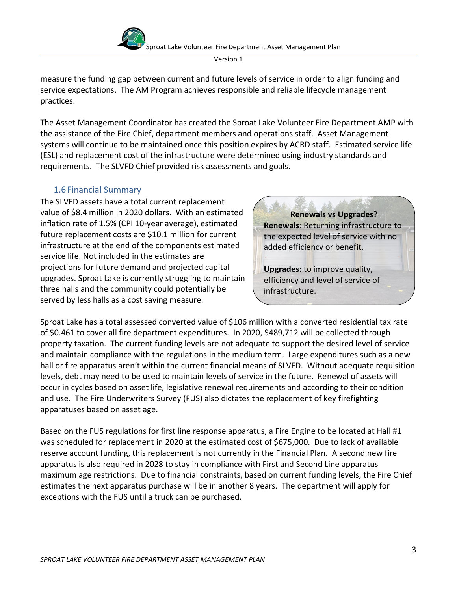

measure the funding gap between current and future levels of service in order to align funding and service expectations. The AM Program achieves responsible and reliable lifecycle management practices.

The Asset Management Coordinator has created the Sproat Lake Volunteer Fire Department AMP with the assistance of the Fire Chief, department members and operations staff. Asset Management systems will continue to be maintained once this position expires by ACRD staff. Estimated service life (ESL) and replacement cost of the infrastructure were determined using industry standards and requirements. The SLVFD Chief provided risk assessments and goals.

#### <span id="page-3-0"></span>1.6Financial Summary

The SLVFD assets have a total current replacement value of \$8.4 million in 2020 dollars. With an estimated inflation rate of 1.5% (CPI 10-year average), estimated future replacement costs are \$10.1 million for current infrastructure at the end of the components estimated service life. Not included in the estimates are projections for future demand and projected capital upgrades. Sproat Lake is currently struggling to maintain three halls and the community could potentially be served by less halls as a cost saving measure.

**Renewals vs Upgrades? Renewals**: Returning infrastructure to the expected level of service with no added efficiency or benefit.

**Upgrades:** to improve quality, efficiency and level of service of infrastructure.

Sproat Lake has a total assessed converted value of \$106 million with a converted residential tax rate of \$0.461 to cover all fire department expenditures. In 2020, \$489,712 will be collected through property taxation. The current funding levels are not adequate to support the desired level of service and maintain compliance with the regulations in the medium term. Large expenditures such as a new hall or fire apparatus aren't within the current financial means of SLVFD. Without adequate requisition levels, debt may need to be used to maintain levels of service in the future. Renewal of assets will occur in cycles based on asset life, legislative renewal requirements and according to their condition and use. The Fire Underwriters Survey (FUS) also dictates the replacement of key firefighting apparatuses based on asset age.

Based on the FUS regulations for first line response apparatus, a Fire Engine to be located at Hall #1 was scheduled for replacement in 2020 at the estimated cost of \$675,000. Due to lack of available reserve account funding, this replacement is not currently in the Financial Plan. A second new fire apparatus is also required in 2028 to stay in compliance with First and Second Line apparatus maximum age restrictions. Due to financial constraints, based on current funding levels, the Fire Chief estimates the next apparatus purchase will be in another 8 years. The department will apply for exceptions with the FUS until a truck can be purchased.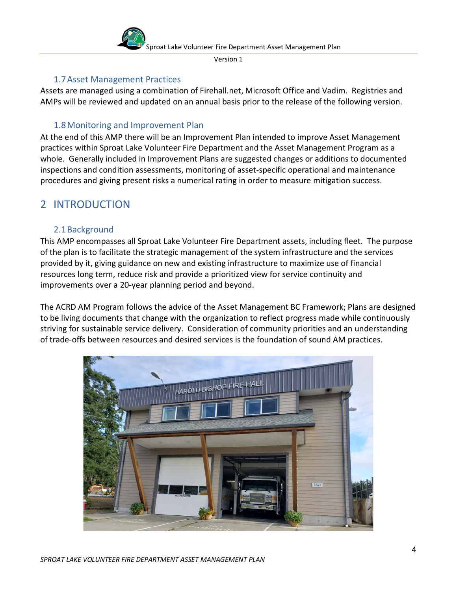

#### 1.7Asset Management Practices

<span id="page-4-0"></span>Assets are managed using a combination of Firehall.net, Microsoft Office and Vadim. Registries and AMPs will be reviewed and updated on an annual basis prior to the release of the following version.

# 1.8Monitoring and Improvement Plan

<span id="page-4-1"></span>At the end of this AMP there will be an Improvement Plan intended to improve Asset Management practices within Sproat Lake Volunteer Fire Department and the Asset Management Program as a whole. Generally included in Improvement Plans are suggested changes or additions to documented inspections and condition assessments, monitoring of asset-specific operational and maintenance procedures and giving present risks a numerical rating in order to measure mitigation success.

# <span id="page-4-2"></span>2 INTRODUCTION

## <span id="page-4-3"></span>2.1Background

This AMP encompasses all Sproat Lake Volunteer Fire Department assets, including fleet. The purpose of the plan is to facilitate the strategic management of the system infrastructure and the services provided by it, giving guidance on new and existing infrastructure to maximize use of financial resources long term, reduce risk and provide a prioritized view for service continuity and improvements over a 20-year planning period and beyond.

The ACRD AM Program follows the advice of the Asset Management BC Framework; Plans are designed to be living documents that change with the organization to reflect progress made while continuously striving for sustainable service delivery. Consideration of community priorities and an understanding of trade-offs between resources and desired services is the foundation of sound AM practices.

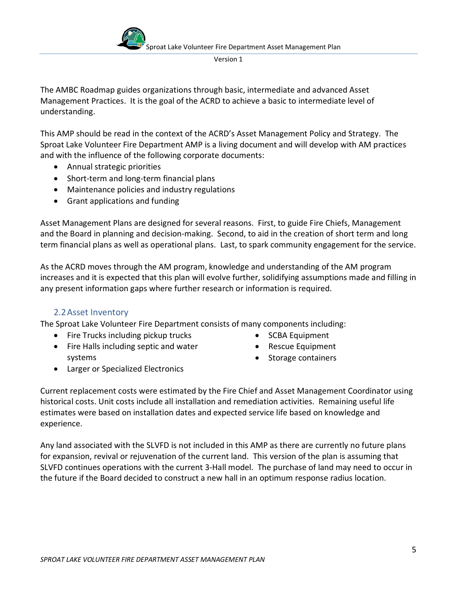

The AMBC Roadmap guides organizations through basic, intermediate and advanced Asset Management Practices. It is the goal of the ACRD to achieve a basic to intermediate level of understanding.

This AMP should be read in the context of the ACRD's Asset Management Policy and Strategy. The Sproat Lake Volunteer Fire Department AMP is a living document and will develop with AM practices and with the influence of the following corporate documents:

- Annual strategic priorities
- Short-term and long-term financial plans
- Maintenance policies and industry regulations
- Grant applications and funding

Asset Management Plans are designed for several reasons. First, to guide Fire Chiefs, Management and the Board in planning and decision-making. Second, to aid in the creation of short term and long term financial plans as well as operational plans. Last, to spark community engagement for the service.

As the ACRD moves through the AM program, knowledge and understanding of the AM program increases and it is expected that this plan will evolve further, solidifying assumptions made and filling in any present information gaps where further research or information is required.

#### 2.2Asset Inventory

<span id="page-5-0"></span>The Sproat Lake Volunteer Fire Department consists of many components including:

- Fire Trucks including pickup trucks
- Fire Halls including septic and water systems
- SCBA Equipment
- Rescue Equipment
- Storage containers

- Larger or Specialized Electronics
- Current replacement costs were estimated by the Fire Chief and Asset Management Coordinator using historical costs. Unit costs include all installation and remediation activities. Remaining useful life estimates were based on installation dates and expected service life based on knowledge and experience.

Any land associated with the SLVFD is not included in this AMP as there are currently no future plans for expansion, revival or rejuvenation of the current land. This version of the plan is assuming that SLVFD continues operations with the current 3-Hall model. The purchase of land may need to occur in the future if the Board decided to construct a new hall in an optimum response radius location.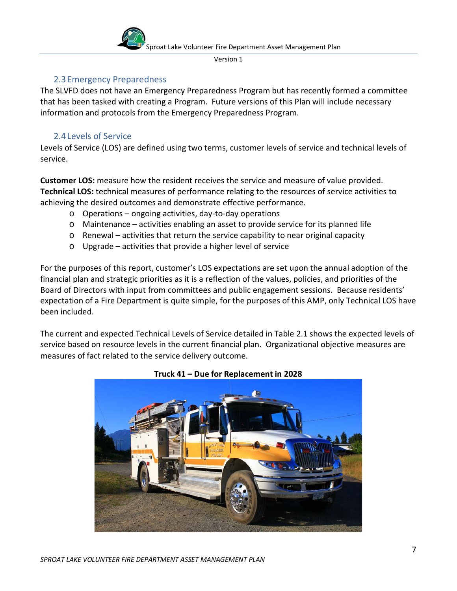

#### 2.3Emergency Preparedness

<span id="page-6-0"></span>The SLVFD does not have an Emergency Preparedness Program but has recently formed a committee that has been tasked with creating a Program. Future versions of this Plan will include necessary information and protocols from the Emergency Preparedness Program.

#### 2.4Levels of Service

<span id="page-6-1"></span>Levels of Service (LOS) are defined using two terms, customer levels of service and technical levels of service.

**Customer LOS:** measure how the resident receives the service and measure of value provided. **Technical LOS:** technical measures of performance relating to the resources of service activities to achieving the desired outcomes and demonstrate effective performance.

- o Operations ongoing activities, day-to-day operations
- o Maintenance activities enabling an asset to provide service for its planned life
- $\circ$  Renewal activities that return the service capability to near original capacity
- o Upgrade activities that provide a higher level of service

For the purposes of this report, customer's LOS expectations are set upon the annual adoption of the financial plan and strategic priorities as it is a reflection of the values, policies, and priorities of the Board of Directors with input from committees and public engagement sessions. Because residents' expectation of a Fire Department is quite simple, for the purposes of this AMP, only Technical LOS have been included.

The current and expected Technical Levels of Service detailed in Table 2.1 shows the expected levels of service based on resource levels in the current financial plan. Organizational objective measures are measures of fact related to the service delivery outcome.



#### **Truck 41 – Due for Replacement in 2028**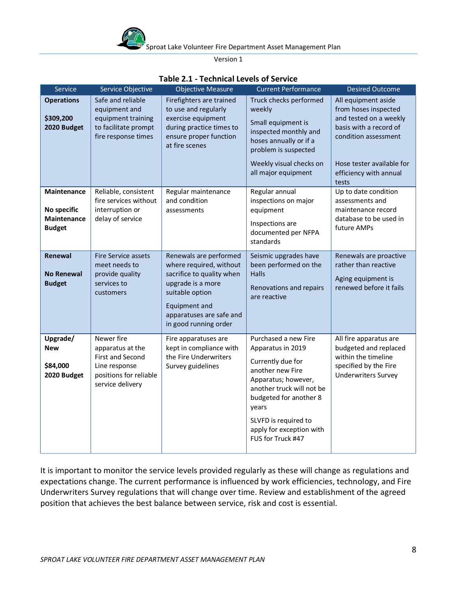

| Service                                                           | Service Objective                                                                                                 | <b>Objective Measure</b>                                                                                                                                                                     | <b>Current Performance</b>                                                                                                                                                                                                                         | <b>Desired Outcome</b>                                                                                                                                                                  |
|-------------------------------------------------------------------|-------------------------------------------------------------------------------------------------------------------|----------------------------------------------------------------------------------------------------------------------------------------------------------------------------------------------|----------------------------------------------------------------------------------------------------------------------------------------------------------------------------------------------------------------------------------------------------|-----------------------------------------------------------------------------------------------------------------------------------------------------------------------------------------|
| <b>Operations</b><br>\$309,200<br>2020 Budget                     | Safe and reliable<br>equipment and<br>equipment training<br>to facilitate prompt<br>fire response times           | Firefighters are trained<br>to use and regularly<br>exercise equipment<br>during practice times to<br>ensure proper function<br>at fire scenes                                               | Truck checks performed<br>weekly<br>Small equipment is<br>inspected monthly and<br>hoses annually or if a<br>problem is suspected<br>Weekly visual checks on<br>all major equipment                                                                | All equipment aside<br>from hoses inspected<br>and tested on a weekly<br>basis with a record of<br>condition assessment<br>Hose tester available for<br>efficiency with annual<br>tests |
| <b>Maintenance</b><br>No specific<br>Maintenance<br><b>Budget</b> | Reliable, consistent<br>fire services without<br>interruption or<br>delay of service                              | Regular maintenance<br>and condition<br>assessments                                                                                                                                          | Regular annual<br>inspections on major<br>equipment<br>Inspections are<br>documented per NFPA<br>standards                                                                                                                                         | Up to date condition<br>assessments and<br>maintenance record<br>database to be used in<br>future AMPs                                                                                  |
| Renewal<br><b>No Renewal</b><br><b>Budget</b>                     | Fire Service assets<br>meet needs to<br>provide quality<br>services to<br>customers                               | Renewals are performed<br>where required, without<br>sacrifice to quality when<br>upgrade is a more<br>suitable option<br>Equipment and<br>apparatuses are safe and<br>in good running order | Seismic upgrades have<br>been performed on the<br><b>Halls</b><br>Renovations and repairs<br>are reactive                                                                                                                                          | Renewals are proactive<br>rather than reactive<br>Aging equipment is<br>renewed before it fails                                                                                         |
| Upgrade/<br><b>New</b><br>\$84,000<br>2020 Budget                 | Newer fire<br>apparatus at the<br>First and Second<br>Line response<br>positions for reliable<br>service delivery | Fire apparatuses are<br>kept in compliance with<br>the Fire Underwriters<br>Survey guidelines                                                                                                | Purchased a new Fire<br>Apparatus in 2019<br>Currently due for<br>another new Fire<br>Apparatus; however,<br>another truck will not be<br>budgeted for another 8<br>years<br>SLVFD is required to<br>apply for exception with<br>FUS for Truck #47 | All fire apparatus are<br>budgeted and replaced<br>within the timeline<br>specified by the Fire<br><b>Underwriters Survey</b>                                                           |

#### **Table 2.1 - Technical Levels of Service**

It is important to monitor the service levels provided regularly as these will change as regulations and expectations change. The current performance is influenced by work efficiencies, technology, and Fire Underwriters Survey regulations that will change over time. Review and establishment of the agreed position that achieves the best balance between service, risk and cost is essential.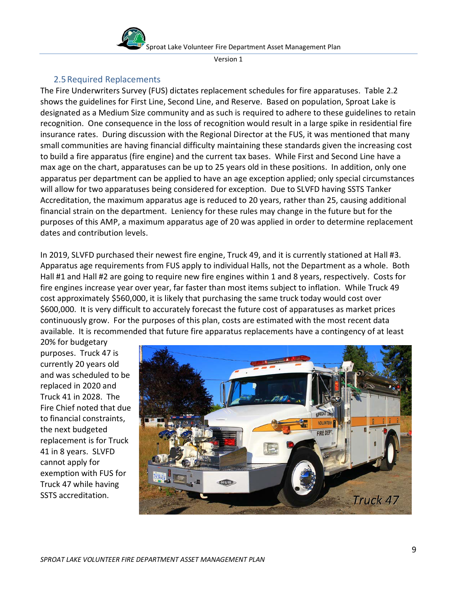

## 2.5Required Replacements

<span id="page-8-0"></span>The Fire Underwriters Survey (FUS) dictates replacement schedules for fire apparatuses. Table 2.2 shows the guidelines for First Line, Second Line, and Reserve. Based on population, Sproat Lake is designated as a Medium Size community and as such is required to adhere to these guidelines to retain recognition. One consequence in the loss of recognition would result in a large spike in residential fire insurance rates. During discussion with the Regional Director at the FUS, it was mentioned that many small communities are having financial difficulty maintaining these standards given the increasing cost to build a fire apparatus (fire engine) and the current tax bases. While First and Second Line have a max age on the chart, apparatuses can be up to 25 years old in these positions. In addition, only one apparatus per department can be applied to have an age exception applied; only special circumstances will allow for two apparatuses being considered for exception. Due to SLVFD having SSTS Tanker Accreditation, the maximum apparatus age is reduced to 20 years, rather than 25, causing additional financial strain on the department. Leniency for these rules may change in the future but for the purposes of this AMP, a maximum apparatus age of 20 was applied in order to determine replacement dates and contribution levels.

In 2019, SLVFD purchased their newest fire engine, Truck 49, and it is currently stationed at Hall #3. Apparatus age requirements from FUS apply to individual Halls, not the Department as a whole. Both Hall #1 and Hall #2 are going to require new fire engines within 1 and 8 years, respectively. Costs for fire engines increase year over year, far faster than most items subject to inflation. While Truck 49 cost approximately \$560,000, it is likely that purchasing the same truck today would cost over \$600,000. It is very difficult to accurately forecast the future cost of apparatuses as market prices continuously grow. For the purposes of this plan, costs are estimated with the most recent data available. It is recommended that future fire apparatus replacements have a contingency of at least

20% for budgetary purposes. Truck 47 is currently 20 years old and was scheduled to be replaced in 2020 and Truck 41 in 2028. The Fire Chief noted that due to financial constraints, the next budgeted replacement is for Truck 41 in 8 years. SLVFD cannot apply for exemption with FUS for Truck 47 while having SSTS accreditation.

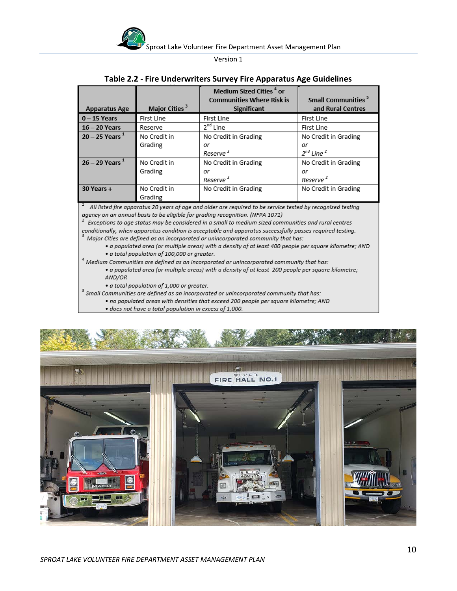

| <b>Apparatus Age</b>                                                                                                                                                                                                                                                                                      | Major Cities <sup>3</sup> | Medium Sized Cities <sup>4</sup> or<br><b>Communities Where Risk is</b><br><b>Significant</b> | <b>Small Communities<sup>5</sup></b><br>and Rural Centres |
|-----------------------------------------------------------------------------------------------------------------------------------------------------------------------------------------------------------------------------------------------------------------------------------------------------------|---------------------------|-----------------------------------------------------------------------------------------------|-----------------------------------------------------------|
| $0 - 15$ Years                                                                                                                                                                                                                                                                                            | First Line                | First Line                                                                                    | First Line                                                |
| $16 - 20$ Years                                                                                                                                                                                                                                                                                           | Reserve                   | 2 <sup>nd</sup> Line                                                                          | First Line                                                |
| $20 - 25$ Years <sup>1</sup>                                                                                                                                                                                                                                                                              | No Credit in<br>Grading   | No Credit in Grading<br>or<br>Reserve <sup>2</sup>                                            | No Credit in Grading<br>or<br>$2^{nd}$ Line $^2$          |
| $26 - 29$ Years <sup>1</sup>                                                                                                                                                                                                                                                                              | No Credit in<br>Grading   | No Credit in Grading<br>or<br>Reserve <sup>2</sup>                                            | No Credit in Grading<br>or<br>Reserve <sup>2</sup>        |
| 30 Years +                                                                                                                                                                                                                                                                                                | No Credit in<br>Grading   | No Credit in Grading                                                                          | No Credit in Grading                                      |
| All listed fire apparatus 20 years of age and older are required to be service tested by recognized testing<br>agency on an annual basis to be eligible for grading recognition. (NFPA 1071)<br>$^2$ Cusantians to one status mousles considered in a small to modium sized communities and suced contrar |                           |                                                                                               |                                                           |

#### **Table 2.2 - Fire Underwriters Survey Fire Apparatus Age Guidelines**

Exceptions to age status may be considered in a small to medium sized communities and rural centres

conditionally, when apparatus condition is acceptable and apparatus successfully passes required testing. Major Cities are defined as an incorporated or unincorporated community that has:

- · a populated area (or multiple areas) with a density of at least 400 people per square kilometre; AND
- · a total population of 100,000 or greater.

 $^4$  Medium Communities are defined as an incorporated or unincorporated community that has:

· a populated area (or multiple areas) with a density of at least 200 people per square kilometre; AND/OR

· a total population of 1,000 or greater.

 $<sup>5</sup>$  Small Communities are defined as an incorporated or unincorporated community that has:</sup>

- . no populated areas with densities that exceed 200 people per square kilometre; AND
- · does not have a total population in excess of 1,000.

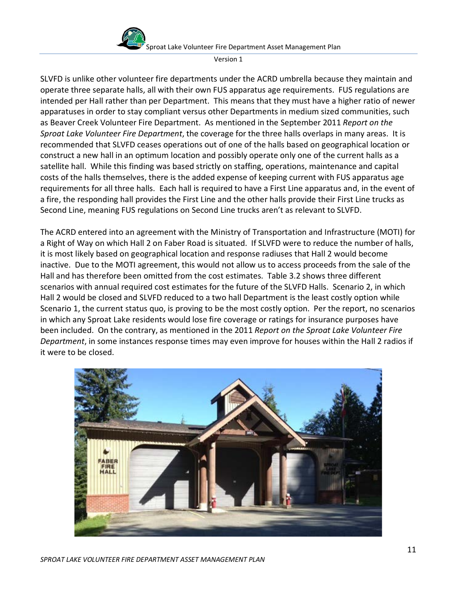Sproat Lake Volunteer Fire Department Asset Management Plan



Version 1

SLVFD is unlike other volunteer fire departments under the ACRD umbrella because they maintain and operate three separate halls, all with their own FUS apparatus age requirements. FUS regulations are intended per Hall rather than per Department. This means that they must have a higher ratio of newer apparatuses in order to stay compliant versus other Departments in medium sized communities, such as Beaver Creek Volunteer Fire Department. As mentioned in the September 2011 *Report on the Sproat Lake Volunteer Fire Department*, the coverage for the three halls overlaps in many areas. It is recommended that SLVFD ceases operations out of one of the halls based on geographical location or construct a new hall in an optimum location and possibly operate only one of the current halls as a satellite hall. While this finding was based strictly on staffing, operations, maintenance and capital costs of the halls themselves, there is the added expense of keeping current with FUS apparatus age requirements for all three halls. Each hall is required to have a First Line apparatus and, in the event of a fire, the responding hall provides the First Line and the other halls provide their First Line trucks as Second Line, meaning FUS regulations on Second Line trucks aren't as relevant to SLVFD.

The ACRD entered into an agreement with the Ministry of Transportation and Infrastructure (MOTI) for a Right of Way on which Hall 2 on Faber Road is situated. If SLVFD were to reduce the number of halls, it is most likely based on geographical location and response radiuses that Hall 2 would become inactive. Due to the MOTI agreement, this would not allow us to access proceeds from the sale of the Hall and has therefore been omitted from the cost estimates. Table 3.2 shows three different scenarios with annual required cost estimates for the future of the SLVFD Halls. Scenario 2, in which Hall 2 would be closed and SLVFD reduced to a two hall Department is the least costly option while Scenario 1, the current status quo, is proving to be the most costly option. Per the report, no scenarios in which any Sproat Lake residents would lose fire coverage or ratings for insurance purposes have been included. On the contrary, as mentioned in the 2011 *Report on the Sproat Lake Volunteer Fire Department*, in some instances response times may even improve for houses within the Hall 2 radios if it were to be closed.

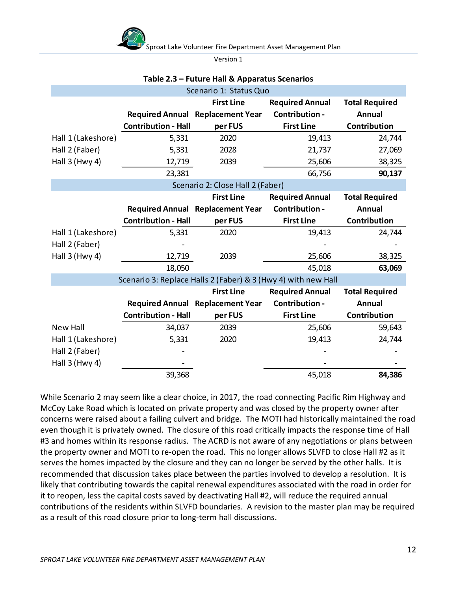

Sproat Lake Volunteer Fire Department Asset Management Plan

Version 1

| Scenario 1: Status Quo |                            |                                                               |                        |                       |
|------------------------|----------------------------|---------------------------------------------------------------|------------------------|-----------------------|
|                        |                            | <b>First Line</b>                                             | <b>Required Annual</b> | <b>Total Required</b> |
|                        |                            | <b>Required Annual Replacement Year</b>                       | Contribution -         | <b>Annual</b>         |
|                        | <b>Contribution - Hall</b> | per FUS                                                       | <b>First Line</b>      | Contribution          |
| Hall 1 (Lakeshore)     | 5,331                      | 2020                                                          | 19,413                 | 24,744                |
| Hall 2 (Faber)         | 5,331                      | 2028                                                          | 21,737                 | 27,069                |
| Hall 3 (Hwy 4)         | 12,719                     | 2039                                                          | 25,606                 | 38,325                |
|                        | 23,381                     |                                                               | 66,756                 | 90,137                |
|                        |                            | Scenario 2: Close Hall 2 (Faber)                              |                        |                       |
|                        |                            | <b>First Line</b>                                             | <b>Required Annual</b> | <b>Total Required</b> |
|                        |                            | <b>Required Annual Replacement Year</b>                       | Contribution -         | <b>Annual</b>         |
|                        | <b>Contribution - Hall</b> | per FUS                                                       | <b>First Line</b>      | Contribution          |
| Hall 1 (Lakeshore)     | 5,331                      | 2020                                                          | 19,413                 | 24,744                |
| Hall 2 (Faber)         |                            |                                                               |                        |                       |
| Hall 3 (Hwy 4)         | 12,719                     | 2039                                                          | 25,606                 | 38,325                |
|                        | 18,050                     |                                                               | 45,018                 | 63,069                |
|                        |                            | Scenario 3: Replace Halls 2 (Faber) & 3 (Hwy 4) with new Hall |                        |                       |
|                        |                            | <b>First Line</b>                                             | <b>Required Annual</b> | <b>Total Required</b> |
|                        |                            | Required Annual Replacement Year                              | Contribution -         | <b>Annual</b>         |
|                        | <b>Contribution - Hall</b> | per FUS                                                       | <b>First Line</b>      | <b>Contribution</b>   |
| <b>New Hall</b>        | 34,037                     | 2039                                                          | 25,606                 | 59,643                |
| Hall 1 (Lakeshore)     | 5,331                      | 2020                                                          | 19,413                 | 24,744                |
| Hall 2 (Faber)         |                            |                                                               |                        |                       |
| Hall 3 (Hwy 4)         |                            |                                                               |                        |                       |
|                        | 39,368                     |                                                               | 45,018                 | 84,386                |

#### **Table 2.3 – Future Hall & Apparatus Scenarios**

While Scenario 2 may seem like a clear choice, in 2017, the road connecting Pacific Rim Highway and McCoy Lake Road which is located on private property and was closed by the property owner after concerns were raised about a failing culvert and bridge. The MOTI had historically maintained the road even though it is privately owned. The closure of this road critically impacts the response time of Hall #3 and homes within its response radius. The ACRD is not aware of any negotiations or plans between the property owner and MOTI to re-open the road. This no longer allows SLVFD to close Hall #2 as it serves the homes impacted by the closure and they can no longer be served by the other halls. It is recommended that discussion takes place between the parties involved to develop a resolution. It is likely that contributing towards the capital renewal expenditures associated with the road in order for it to reopen, less the capital costs saved by deactivating Hall #2, will reduce the required annual contributions of the residents within SLVFD boundaries. A revision to the master plan may be required as a result of this road closure prior to long-term hall discussions.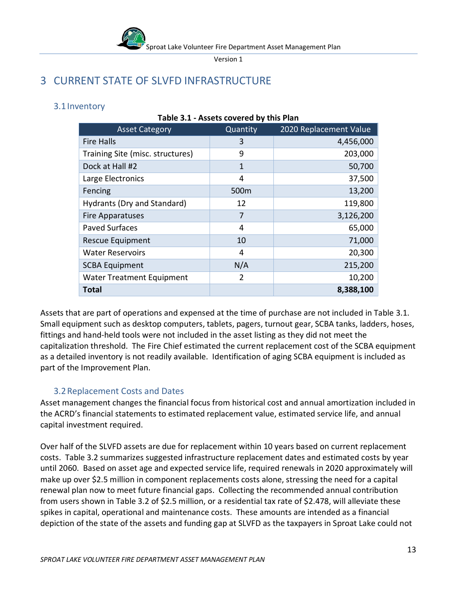

**Table 3.1 - Assets covered by this Plan**

# <span id="page-12-0"></span>3 CURRENT STATE OF SLVFD INFRASTRUCTURE

## <span id="page-12-1"></span>3.1Inventory

| <b>Asset Category</b>            | Quantity         | 2020 Replacement Value |
|----------------------------------|------------------|------------------------|
| <b>Fire Halls</b>                | 3                | 4,456,000              |
| Training Site (misc. structures) | 9                | 203,000                |
| Dock at Hall #2                  | 1                | 50,700                 |
| Large Electronics                | 4                | 37,500                 |
| Fencing                          | 500 <sub>m</sub> | 13,200                 |
| Hydrants (Dry and Standard)      | 12               | 119,800                |
| <b>Fire Apparatuses</b>          | 7                | 3,126,200              |
| <b>Paved Surfaces</b>            | 4                | 65,000                 |
| Rescue Equipment                 | 10               | 71,000                 |
| <b>Water Reservoirs</b>          | 4                | 20,300                 |
| <b>SCBA Equipment</b>            | N/A              | 215,200                |
| <b>Water Treatment Equipment</b> | 2                | 10,200                 |
| <b>Total</b>                     |                  | 8,388,100              |

# Assets that are part of operations and expensed at the time of purchase are not included in Table 3.1. Small equipment such as desktop computers, tablets, pagers, turnout gear, SCBA tanks, ladders, hoses, fittings and hand-held tools were not included in the asset listing as they did not meet the capitalization threshold. The Fire Chief estimated the current replacement cost of the SCBA equipment as a detailed inventory is not readily available. Identification of aging SCBA equipment is included as part of the Improvement Plan.

# <span id="page-12-2"></span>3.2Replacement Costs and Dates

Asset management changes the financial focus from historical cost and annual amortization included in the ACRD's financial statements to estimated replacement value, estimated service life, and annual capital investment required.

Over half of the SLVFD assets are due for replacement within 10 years based on current replacement costs. Table 3.2 summarizes suggested infrastructure replacement dates and estimated costs by year until 2060. Based on asset age and expected service life, required renewals in 2020 approximately will make up over \$2.5 million in component replacements costs alone, stressing the need for a capital renewal plan now to meet future financial gaps. Collecting the recommended annual contribution from users shown in Table 3.2 of \$2.5 million, or a residential tax rate of \$2.478, will alleviate these spikes in capital, operational and maintenance costs. These amounts are intended as a financial depiction of the state of the assets and funding gap at SLVFD as the taxpayers in Sproat Lake could not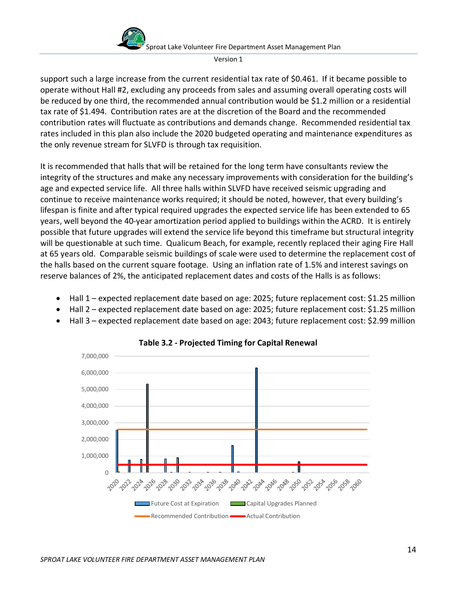

support such a large increase from the current residential tax rate of \$0.461. If it became possible to operate without Hall #2, excluding any proceeds from sales and assuming overall operating costs will be reduced by one third, the recommended annual contribution would be \$1.2 million or a residential tax rate of \$1.494. Contribution rates are at the discretion of the Board and the recommended contribution rates will fluctuate as contributions and demands change. Recommended residential tax rates included in this plan also include the 2020 budgeted operating and maintenance expenditures as the only revenue stream for SLVFD is through tax requisition.

It is recommended that halls that will be retained for the long term have consultants review the integrity of the structures and make any necessary improvements with consideration for the building's age and expected service life. All three halls within SLVFD have received seismic upgrading and continue to receive maintenance works required; it should be noted, however, that every building's lifespan is finite and after typical required upgrades the expected service life has been extended to 65 years, well beyond the 40-year amortization period applied to buildings within the ACRD. It is entirely possible that future upgrades will extend the service life beyond this timeframe but structural integrity will be questionable at such time. Qualicum Beach, for example, recently replaced their aging Fire Hall at 65 years old. Comparable seismic buildings of scale were used to determine the replacement cost of the halls based on the current square footage. Using an inflation rate of 1.5% and interest savings on reserve balances of 2%, the anticipated replacement dates and costs of the Halls is as follows:

- Hall 1 expected replacement date based on age: 2025; future replacement cost: \$1.25 million
- Hall 2 expected replacement date based on age: 2025; future replacement cost: \$1.25 million
- Hall 3 expected replacement date based on age: 2043; future replacement cost: \$2.99 million



**Table 3.2 - Projected Timing for Capital Renewal**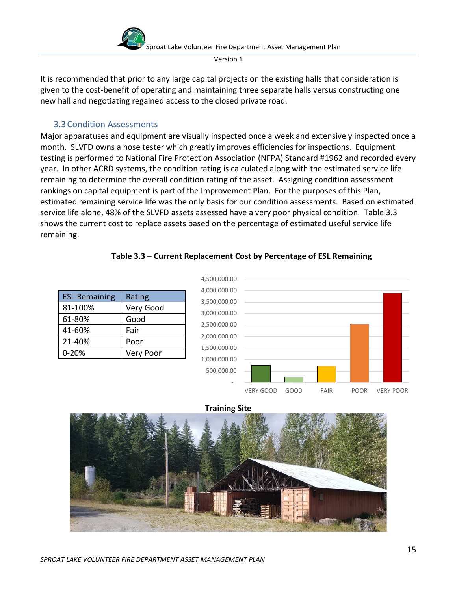

It is recommended that prior to any large capital projects on the existing halls that consideration is given to the cost-benefit of operating and maintaining three separate halls versus constructing one new hall and negotiating regained access to the closed private road.

## 3.3Condition Assessments

<span id="page-14-0"></span>Major apparatuses and equipment are visually inspected once a week and extensively inspected once a month. SLVFD owns a hose tester which greatly improves efficiencies for inspections. Equipment testing is performed to National Fire Protection Association (NFPA) Standard #1962 and recorded every year. In other ACRD systems, the condition rating is calculated along with the estimated service life remaining to determine the overall condition rating of the asset. Assigning condition assessment rankings on capital equipment is part of the Improvement Plan. For the purposes of this Plan, estimated remaining service life was the only basis for our condition assessments. Based on estimated service life alone, 48% of the SLVFD assets assessed have a very poor physical condition. Table 3.3 shows the current cost to replace assets based on the percentage of estimated useful service life remaining.

#### **Table 3.3 – Current Replacement Cost by Percentage of ESL Remaining**

| <b>ESL Remaining</b> | Rating           |
|----------------------|------------------|
| 81-100%              | Very Good        |
| 61-80%               | Good             |
| 41-60%               | Fair             |
| 21-40%               | Poor             |
| $0 - 20%$            | <b>Very Poor</b> |



#### **Training Site**

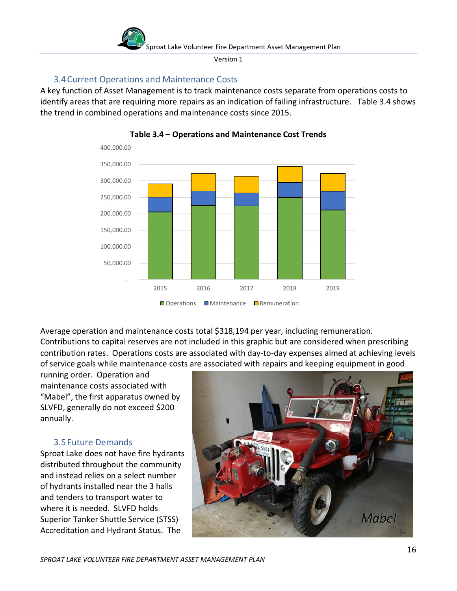

# 3.4Current Operations and Maintenance Costs

<span id="page-15-0"></span>A key function of Asset Management is to track maintenance costs separate from operations costs to identify areas that are requiring more repairs as an indication of failing infrastructure. Table 3.4 shows the trend in combined operations and maintenance costs since 2015.





Average operation and maintenance costs total \$318,194 per year, including remuneration. Contributions to capital reserves are not included in this graphic but are considered when prescribing contribution rates. Operations costs are associated with day-to-day expenses aimed at achieving levels of service goals while maintenance costs are associated with repairs and keeping equipment in good

running order. Operation and maintenance costs associated with "Mabel", the first apparatus owned by SLVFD, generally do not exceed \$200 annually.

# <span id="page-15-1"></span>3.5Future Demands

Sproat Lake does not have fire hydrants distributed throughout the community and instead relies on a select number of hydrants installed near the 3 halls and tenders to transport water to where it is needed. SLVFD holds Superior Tanker Shuttle Service (STSS) Accreditation and Hydrant Status. The

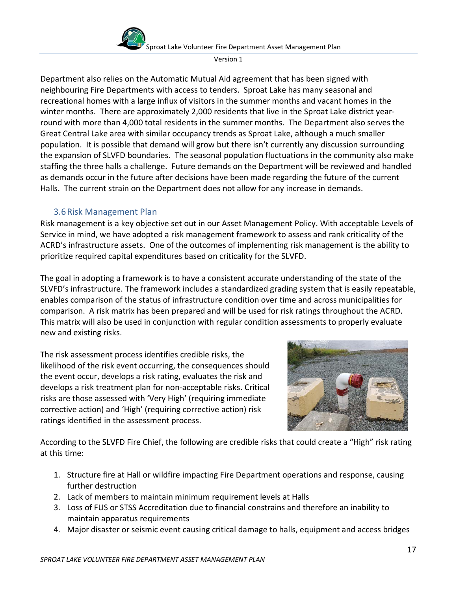



Department also relies on the Automatic Mutual Aid agreement that has been signed with neighbouring Fire Departments with access to tenders. Sproat Lake has many seasonal and recreational homes with a large influx of visitors in the summer months and vacant homes in the winter months. There are approximately 2,000 residents that live in the Sproat Lake district yearround with more than 4,000 total residents in the summer months. The Department also serves the Great Central Lake area with similar occupancy trends as Sproat Lake, although a much smaller population. It is possible that demand will grow but there isn't currently any discussion surrounding the expansion of SLVFD boundaries. The seasonal population fluctuations in the community also make staffing the three halls a challenge. Future demands on the Department will be reviewed and handled as demands occur in the future after decisions have been made regarding the future of the current Halls. The current strain on the Department does not allow for any increase in demands.

# 3.6Risk Management Plan

<span id="page-16-0"></span>Risk management is a key objective set out in our Asset Management Policy. With acceptable Levels of Service in mind, we have adopted a risk management framework to assess and rank criticality of the ACRD's infrastructure assets. One of the outcomes of implementing risk management is the ability to prioritize required capital expenditures based on criticality for the SLVFD.

The goal in adopting a framework is to have a consistent accurate understanding of the state of the SLVFD's infrastructure. The framework includes a standardized grading system that is easily repeatable, enables comparison of the status of infrastructure condition over time and across municipalities for comparison. A risk matrix has been prepared and will be used for risk ratings throughout the ACRD. This matrix will also be used in conjunction with regular condition assessments to properly evaluate new and existing risks.

The risk assessment process identifies credible risks, the likelihood of the risk event occurring, the consequences should the event occur, develops a risk rating, evaluates the risk and develops a risk treatment plan for non-acceptable risks. Critical risks are those assessed with 'Very High' (requiring immediate corrective action) and 'High' (requiring corrective action) risk ratings identified in the assessment process.



According to the SLVFD Fire Chief, the following are credible risks that could create a "High" risk rating at this time:

- 1. Structure fire at Hall or wildfire impacting Fire Department operations and response, causing further destruction
- 2. Lack of members to maintain minimum requirement levels at Halls
- 3. Loss of FUS or STSS Accreditation due to financial constrains and therefore an inability to maintain apparatus requirements
- 4. Major disaster or seismic event causing critical damage to halls, equipment and access bridges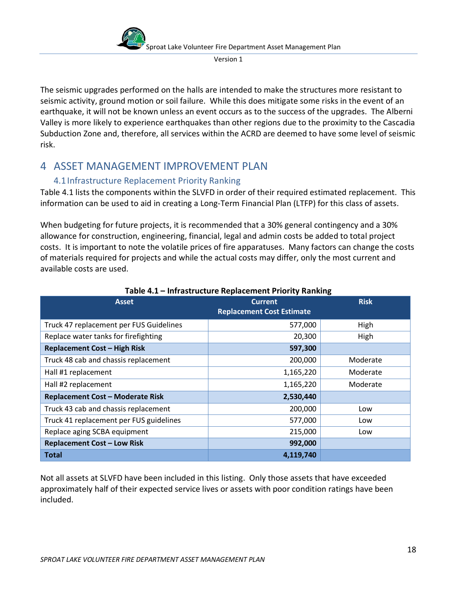

The seismic upgrades performed on the halls are intended to make the structures more resistant to seismic activity, ground motion or soil failure. While this does mitigate some risks in the event of an earthquake, it will not be known unless an event occurs as to the success of the upgrades. The Alberni Valley is more likely to experience earthquakes than other regions due to the proximity to the Cascadia Subduction Zone and, therefore, all services within the ACRD are deemed to have some level of seismic risk.

# <span id="page-17-0"></span>4 ASSET MANAGEMENT IMPROVEMENT PLAN

# <span id="page-17-1"></span>4.1Infrastructure Replacement Priority Ranking

Table 4.1 lists the components within the SLVFD in order of their required estimated replacement. This information can be used to aid in creating a Long-Term Financial Plan (LTFP) for this class of assets.

When budgeting for future projects, it is recommended that a 30% general contingency and a 30% allowance for construction, engineering, financial, legal and admin costs be added to total project costs. It is important to note the volatile prices of fire apparatuses. Many factors can change the costs of materials required for projects and while the actual costs may differ, only the most current and available costs are used.

| <b>Asset</b>                            | <b>Current</b>                   | <b>Risk</b> |
|-----------------------------------------|----------------------------------|-------------|
|                                         | <b>Replacement Cost Estimate</b> |             |
| Truck 47 replacement per FUS Guidelines | 577,000                          | High        |
| Replace water tanks for firefighting    | 20,300                           | High        |
| <b>Replacement Cost - High Risk</b>     | 597,300                          |             |
| Truck 48 cab and chassis replacement    | 200,000                          | Moderate    |
| Hall #1 replacement                     | 1,165,220                        | Moderate    |
| Hall #2 replacement                     | 1,165,220                        | Moderate    |
| <b>Replacement Cost - Moderate Risk</b> | 2,530,440                        |             |
| Truck 43 cab and chassis replacement    | 200,000                          | Low         |
| Truck 41 replacement per FUS guidelines | 577,000                          | Low         |
| Replace aging SCBA equipment            | 215,000                          | Low         |
| <b>Replacement Cost - Low Risk</b>      | 992,000                          |             |
| <b>Total</b>                            | 4,119,740                        |             |

#### **Table 4.1 – Infrastructure Replacement Priority Ranking**

Not all assets at SLVFD have been included in this listing. Only those assets that have exceeded approximately half of their expected service lives or assets with poor condition ratings have been included.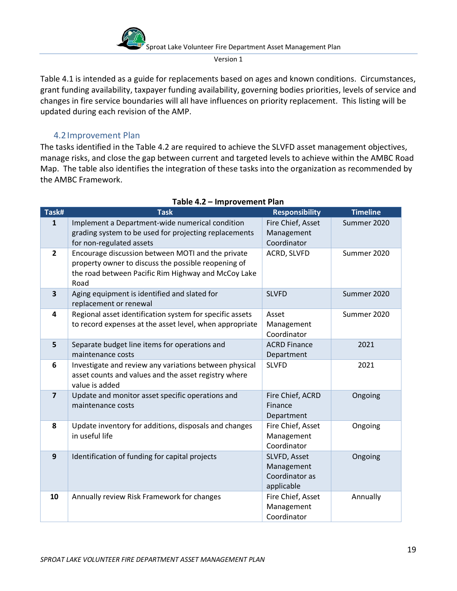

Table 4.1 is intended as a guide for replacements based on ages and known conditions. Circumstances, grant funding availability, taxpayer funding availability, governing bodies priorities, levels of service and changes in fire service boundaries will all have influences on priority replacement. This listing will be updated during each revision of the AMP.

## <span id="page-18-0"></span>4.2Improvement Plan

The tasks identified in the Table 4.2 are required to achieve the SLVFD asset management objectives, manage risks, and close the gap between current and targeted levels to achieve within the AMBC Road Map. The table also identifies the integration of these tasks into the organization as recommended by the AMBC Framework.

| Task#                   | <b>Task</b>                                                                                                                                                             | <b>Responsibility</b>                                      | <b>Timeline</b> |
|-------------------------|-------------------------------------------------------------------------------------------------------------------------------------------------------------------------|------------------------------------------------------------|-----------------|
| $\mathbf{1}$            | Implement a Department-wide numerical condition<br>grading system to be used for projecting replacements                                                                | Fire Chief, Asset<br>Management                            | Summer 2020     |
|                         | for non-regulated assets                                                                                                                                                | Coordinator                                                |                 |
| $\overline{2}$          | Encourage discussion between MOTI and the private<br>property owner to discuss the possible reopening of<br>the road between Pacific Rim Highway and McCoy Lake<br>Road | ACRD, SLVFD                                                | Summer 2020     |
| $\overline{\mathbf{3}}$ | Aging equipment is identified and slated for<br>replacement or renewal                                                                                                  | <b>SLVFD</b>                                               | Summer 2020     |
| 4                       | Regional asset identification system for specific assets<br>to record expenses at the asset level, when appropriate                                                     | Asset<br>Management<br>Coordinator                         | Summer 2020     |
| 5                       | Separate budget line items for operations and<br>maintenance costs                                                                                                      | <b>ACRD Finance</b><br>Department                          | 2021            |
| 6                       | Investigate and review any variations between physical<br>asset counts and values and the asset registry where<br>value is added                                        | <b>SLVFD</b>                                               | 2021            |
| $\overline{7}$          | Update and monitor asset specific operations and<br>maintenance costs                                                                                                   | Fire Chief, ACRD<br>Finance<br>Department                  | Ongoing         |
| 8                       | Update inventory for additions, disposals and changes<br>in useful life                                                                                                 | Fire Chief, Asset<br>Management<br>Coordinator             | Ongoing         |
| $\mathbf{9}$            | Identification of funding for capital projects                                                                                                                          | SLVFD, Asset<br>Management<br>Coordinator as<br>applicable | Ongoing         |
| 10                      | Annually review Risk Framework for changes                                                                                                                              | Fire Chief, Asset<br>Management<br>Coordinator             | Annually        |

#### **Table 4.2 – Improvement Plan**